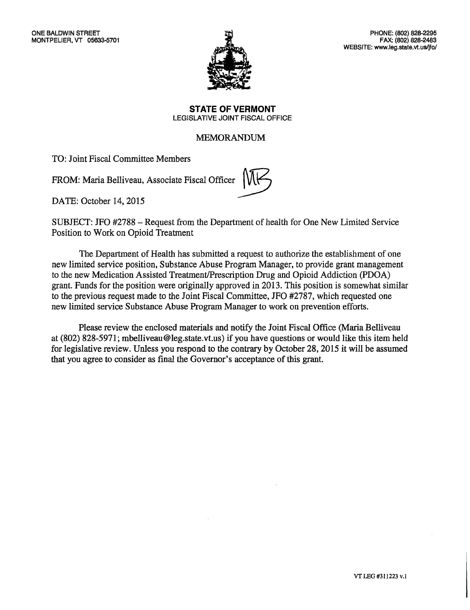

**STATE OF VERMONT**  LEGISLATIVE JOINT FISCAL OFFICE

# MEMORANDUM

TO: Joint Fiscal Committee Members

FROM: Maria Belliveau, Associate Fiscal Officer



DATE: October 14, 2015

SUBJECT: JFO #2788 — Request from the Department of health for One New Limited Service Position to Work on Opioid Treatment

The Department of Health has submitted a request to authorize the establishment of one new limited service position, Substance Abuse Program Manager, to provide grant management to the new Medication Assisted Treatment/Prescription Drug and Opioid Addiction (PDOA) grant. Funds for the position were originally approved in 2013. This position is somewhat similar to the previous request made to the Joint Fiscal Committee, JFO #2787, which requested one new limited service Substance Abuse Program Manager to work on prevention efforts.

Please review the enclosed materials and notify the Joint Fiscal Office (Maria Belliveau at (802) 828-5971; mbelliveau@leg.state.vt.us) if you have questions or would like this item held for legislative review. Unless you respond to the contrary by October 28, 2015 it will be assumed that you agree to consider as final the Governor's acceptance of this grant.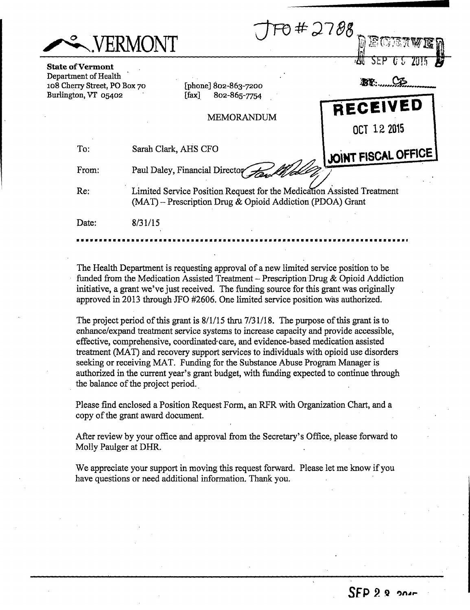|                                                                                                         | <b>NERMONT</b>                                                                                                                      | #2788<br>d EGEA          |
|---------------------------------------------------------------------------------------------------------|-------------------------------------------------------------------------------------------------------------------------------------|--------------------------|
| <b>State of Vermont</b><br>Department of Health<br>108 Cherry Street, PO Box 70<br>Burlington, VT 05402 | [phone] $802 - 863 - 7200$<br>802-865-7754<br>$[$ fax $]$                                                                           | <b>25b</b><br><b>BY:</b> |
|                                                                                                         | MEMORANDUM                                                                                                                          | RECEIVED<br>OCT 12 2015  |
| To:                                                                                                     | Sarah Clark, AHS CFO                                                                                                                | JOINT FISCAL OFFICE      |
| From:                                                                                                   | Paul Daley, Financial Director                                                                                                      |                          |
| Re:                                                                                                     | Limited Service Position Request for the Medication Assisted Treatment<br>(MAT) - Prescription Drug & Opioid Addiction (PDOA) Grant |                          |
| Date:                                                                                                   | 8/31/15                                                                                                                             |                          |
|                                                                                                         |                                                                                                                                     |                          |

The Health Department is requesting approval of a new limited service position to be funded from the Medication Assisted Treatment - Prescription Drug & Opioid Addiction initiative, a grant we've just received. The funding source for this grant was originally approved in 2013 through JFO #2606. One limited service position was authorized.

The project period of this grant is 8/1/15 thru 7/31/18. The purpose of this grant is to enhance/expand treatment service systems to increase capacity and provide accessible, effective, comprehensive, coordinated care, and evidence-based medication assisted treatment (MAT) and recovery support services to individuals with opioid use disorders seeking or receiving MAT. Funding for the Substance Abuse Program Manager is authorized in the current year's grant budget, with funding expected to continue through the balance of the project period.

Please find enclosed a Position Request Form, an RFR with Organization Chart, and a copy of the grant award document.

After review by your office and approval from the Secretary's Office, please forward to Molly Paulger at DHR.

We appreciate your support in moving this request forward. Please let me know if you have questions or need additional information. Thank you.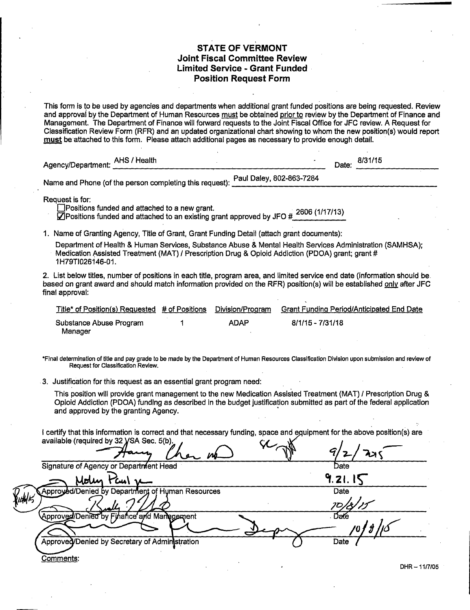## **STATE OF VERMONT Joint Fiscal Committee Review Limited Service - Grant Funded Position Request Form**

This form is to be used by agencies and departments when additional grant funded positions are being requested. Review and approval by the Department of Human Resources must be obtained prior to review by the Department of Finance and Management. The Department of Finance will forward requests to the Joint Fiscal Office for JFC review. A Request for Classification Review Form (RFR) and an updated organizational chart showing to whom the new position(s) would report must be attached to this form. Please attach additional pages as necessary to provide enough detail.

| AHS / Health<br>Agency/Department: |                                                         |                          | Date: | 8/31/15 |
|------------------------------------|---------------------------------------------------------|--------------------------|-------|---------|
|                                    | Name and Phone (of the person completing this request): | Paul Daley, 802-863-7284 |       |         |

Request is for:<br>I Positions funded and attached to a new grant.

Chrositions funded and attached to a new grant.<br>Mensitions funded and attached to an existing grant approved by JFO #2606 (1/17/13)

1. Name of Granting Agency, Title of Grant, Grant Funding Detail (attach grant documents):

Department of Health & Human Services, Substance Abuse & Mental Health Services Administration (SAMHSA); Medication Assisted Treatment (MAT) / Prescription Drug & Opioid Addiction (PDOA) grant; grant # 1H79T1026146-01.

2. List below titles, number of positions in each title, program area, and limited service end date (information should be based on grant award and should match information provided on the RFR) position(s) will be established only after JFC final approval:

| Title* of Position(s) Requested # of Positions | Division/Program | <b>Grant Funding Period/Anticipated End Date</b> |
|------------------------------------------------|------------------|--------------------------------------------------|
| Substance Abuse Program<br>Manager             | <b>ADAP</b>      | 8/1/15 - 7/31/18                                 |
|                                                |                  |                                                  |

\*Final determination of title and pay grade to be made by the Department of Human Resources Classification Division upon submission and review of Request for Classification Review.

3. Justification for this request as an essential grant program need:

This position will provide grant management to the new Medication Assisted Treatment (MAT) / Prescription Drug & Opioid Addiction (PDOA) funding as described in the budget justification submitted as part of the federal application and approved by the granting Agency.

I certify that this information is correct and that necessary funding, space and equipment for the above position(s) are available (required by  $32$  VSA Sec.  $5$ (b).

|        | $\sim$ $\sim$ $\sim$                             |         |
|--------|--------------------------------------------------|---------|
|        | Signature of Agency or Department Head           | Date    |
|        | Molin                                            | 9.21.15 |
| udd 15 | Approyed/Denied by Department of Human Resources | Date    |
|        |                                                  |         |
|        | Approved/Denied by Finance and Management        | Date    |
|        |                                                  | 70 J    |
|        | Approvec/Denied by Secretary of Administration   | Date    |
|        | <u> Comments</u> :                               |         |

DHR —11/7/05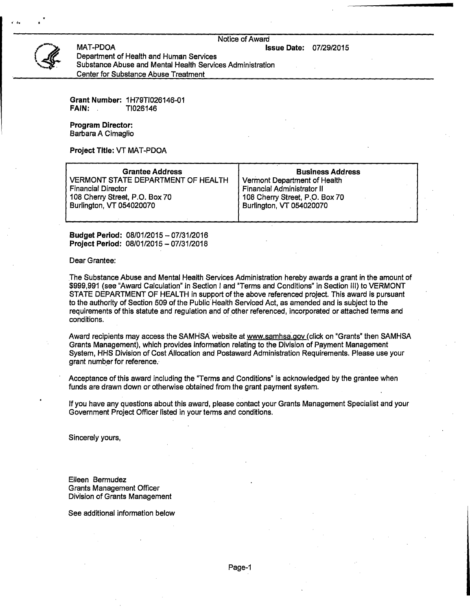Notice of Award

**Issue Date:** 07/29/2015



Department of Health and Human Services Substance Abuse and Mental Health Services Administration Center for Substance Abuse Treatment

**Grant Number:** 1H79T1026146-01 **FAIN:** TI026146

**Program Director:**  Barbara A Cimaglio

MAT-PDOA

**Project Title:** VT MAT-PDOA

| <b>Grantee Address</b>                    | <b>Business Address</b>        |
|-------------------------------------------|--------------------------------|
| <b>VERMONT STATE DEPARTMENT OF HEALTH</b> | Vermont Department of Health   |
| <b>Financial Director</b>                 | Financial Administrator II     |
| 108 Cherry Street, P.O. Box 70            | 108 Cherry Street, P.O. Box 70 |
| Burlington, VT 054020070                  | Burlington, VT 054020070       |
|                                           |                                |

**Budget Period:** 08/01/2015 — 07/31/2016 **Project Period:** 08/01/2015 — 07/31/2018

Dear Grantee:

The Substance Abuse and Mental Health Services Administration hereby awards a grant in the amount of \$999,991 (see "Award Calculation" in Section I and "Terms and Conditions" in Section 111) to VERMONT STATE DEPARTMENT OF HEALTH in support of the above referenced project. This award is pursuant to the authority of Section 509 of the Public Health Serviced Act, as amended and is subject to the requirements of this statute and regulation and of other referenced, incorporated or attached terms and conditions.

Award recipients may access the SAMHSA website at www.samhsa.gov (click on "Grants" then SAMHSA Grants Management), which provides information relating to the Division of Payment Management System, HHS Division of Cost Allocation and Postaward Administration Requirements. Please use your grant number for reference.

Acceptance of this award including the "Terms and Conditions" is acknowledged by the grantee when funds are drawn down or otherwise obtained from the grant payment system.

If you have any questions about this award, please contact your Grants Management Specialist and your Government Project Officer listed in your terms and conditions.

Sincerely yours,

Eileen Bermudez Grants Management Officer Division of Grants Management

See additional information below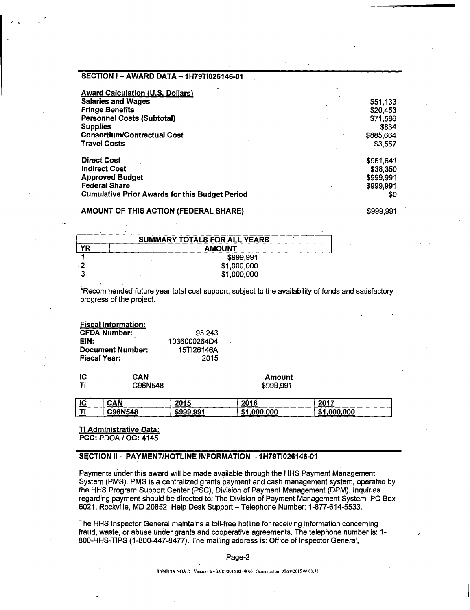## **SECTION I — AWARD DATA — 1H79T1026146-01**

| <b>Award Calculation (U.S. Dollars)</b>               |           |
|-------------------------------------------------------|-----------|
| <b>Salaries and Wages</b>                             | \$51,133  |
| <b>Fringe Benefits</b>                                | \$20,453  |
| <b>Personnel Costs (Subtotal)</b>                     | \$71,586  |
| <b>Supplies</b>                                       | \$834     |
| <b>Consortium/Contractual Cost</b>                    | \$885,664 |
| <b>Travel Costs</b>                                   | \$3,557   |
| <b>Direct Cost</b>                                    | \$961,641 |
| <b>Indirect Cost</b>                                  | \$38,350  |
| <b>Approved Budget</b>                                | \$999,991 |
| <b>Federal Share</b>                                  | \$999,991 |
| <b>Cumulative Prior Awards for this Budget Period</b> | \$0       |

#### **AMOUNT OF THIS ACTION (FEDERAL SHARE) 1999,991 \$999,991**

| <b>SUMMARY TOTALS FOR ALL YEARS</b> |               |  |  |  |  |
|-------------------------------------|---------------|--|--|--|--|
| <b>YR</b>                           | <b>AMOUNT</b> |  |  |  |  |
|                                     | \$999,991     |  |  |  |  |
|                                     | \$1,000,000   |  |  |  |  |
| 2                                   | \$1,000,000   |  |  |  |  |

\*Recommended future year total cost support, subject to the availability of funds and satisfactory progress of the project.

**Fiscal Information: CFDA Number:** 93.243<br>**EIN:** 936000264D4 **EIN:** 1036000264D4 **Document Number:** 15Tl26146A<br>**Fiscal Year:** 2015 **Fiscal Year:** 

| łС        | CAN     | Amount    |
|-----------|---------|-----------|
| <b>TI</b> | C96N548 | \$999,991 |

| C96N548<br><b>CA</b><br>.000.000<br>.000.000<br>\$999.991<br>- 39 | IC | CAN | 2015 | 2016 | 2017 |
|-------------------------------------------------------------------|----|-----|------|------|------|
|                                                                   |    |     |      |      |      |

**TI Administrative Data: PCC:** PDOA / OC: 4145

## **SECTION II— PAYMENT/HOTLINE INFORMATION — 1H79T1026146-01**

Payments under this award will be made available through the HHS Payment Management System (PMS). PMS is a centralized grants payment and cash management system, operated by the HHS Program Support Center (PSC), Division of Payment Management (DPM). Inquiries regarding payment should be directed to: The Division of Payment Management System, PO Box 6021, Rockville, MD 20852, Help Desk Support — Telephone Number: 1-877-614-5533.

The HHS Inspector General maintains a toll-free hotline for receiving information concerning fraud, waste, or abuse under grants and cooperative agreements. The telephone number is: 1- 800-HHS-TIPS (1-800-447-8477). The mailing address is: Office of Inspector General,

#### Page-2

SAMHSA NGA D.1 Venton. 6 - 03/13/2015 08.09 00 | Generated on: 07/29/2015 00:03:31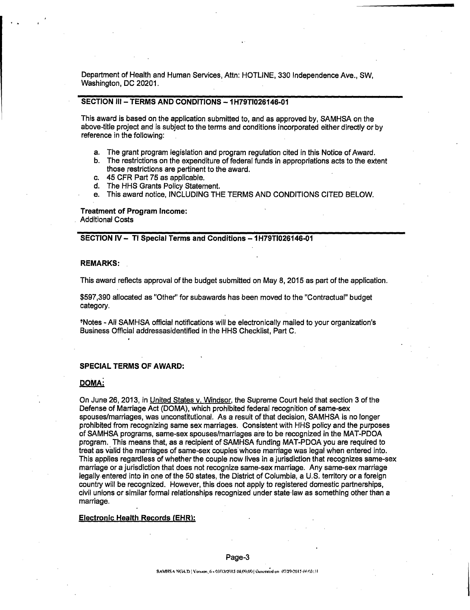Department of Health and Human Services, Attn: HOTLINE, 330 Independence Ave., SW, Washington, DC 20201.

## **SECTION III — TERMS AND CONDITIONS — 1H79T1026146-01**

This award is based on the application submitted to, and as approved by, SAMHSA on the above-title project and is subject to the terms and conditions incorporated either directly or by reference in the following:

- a. The grant program legislation and program regulation cited in this Notice of Award.
- b. The restrictions on the expenditure of federal funds in appropriations acts to the extent those restrictions are pertinent to the award.
- c. 45 CFR Part 75 as applicable.
- d. The HHS Grants Policy Statement.
- e. This award notice, INCLUDING THE TERMS AND CONDITIONS CITED BELOW.

#### **Treatment of Program Income:**

Additional Costs

## **SECTION IV — T1 Special Terms and Conditions — 1H79T1026146-01**

#### **REMARKS:**

This award reflects approval of the budget submitted on May 8, 2015 as part of the application.

\$597,390 allocated as "Other" for subawards has been moved to the "Contractual" budget category.

Notes - All SAMHSA official notifications will be electronically mailed to your organization's Business Official addressasidentified in the HHS Checklist, Part C.

#### **SPECIAL TERMS OF AWARD:**

#### **DOMAi**

On June 26, 2013, in United States v. Windsor, the Supreme Court held that section 3 of the Defense of Marriage Act (DOMA), which prohibited federal recognition of same-sex spouses/marriages, was unconstitutional. As a result of that decision, SAMHSA is no longer prohibited from recognizing same sex marriages. Consistent with HHS policy and the purposes of SAMHSA programs, same-sex spouses/marriages are to be recognized in the MAT-PDOA program.. This means that, as a recipient of SAMHSA funding MAT-PDOA you are required to treat as valid the marriages of same-sex couples whose marriage was legal when entered into. This applies regardless of whether the couple now lives in a jurisdiction that recognizes same-sex marriage or a jurisdiction that does not recognize same-sex marriage. Any same-sex marriage legally entered into in one of the 50 states, the District of Columbia, a U.S. territory or a foreign country will be recognized. However, this does not apply to registered domestic partnerships, civil unions or similar formal relationships recognized under state law as something other than a marriage.

#### **Electronic Health Records (EHR):**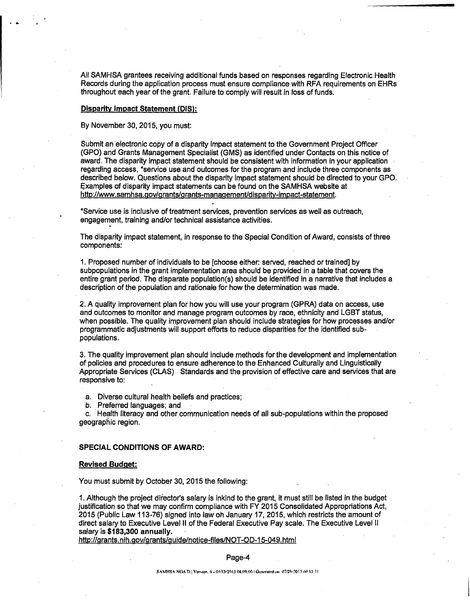All SAMHSA grantees receiving additional funds based on responses regarding Electronic Health Records during the application process must ensure compliance with RFA requirements on EHRs throughout each year of the grant. Failure to comply will result in loss of funds.

#### **Disparity Impact Statement (DIS):**

By November 30, 2015, you must:

Submit an electronic copy of a disparity impact statement to the Government Project Officer (GPO) and Grants Management Specialist (GMS) as identified under Contacts on this notice of award. The disparity impact statement should be consistent with information in your application regarding access, \*service use and outcomes for the program and include three components as described below. Questions about the disparity impact statement should be directed to your GPO. Examples of disparity impact statements can be found on the SAMHSA website at http://www.samhsa.gov/grants/grants-management/disparity-impact-statement.

\*Service use is inclusive of treatment services, prevention services as well as outreach, engagement, training and/or technical assistance activities.

The disparity impact statement, in response to the Special Condition of Award, consists of three components:

1. Proposed number of individuals to be [choose either: served, reached or trained] by subpopulations in the grant implementation area should be provided in a table that covers the entire grant period. The disparate population(s) should be identified in a narrative that includes a description of the population and rationale for how the determination was made.

2. A quality improvement plan for how you will use your program (GPRA) data on access, use and outcomes to monitor and manage program outcomes by race, ethnicity and LGBT status, when possible. The quality improvement plan should include strategies for how processes and/or programmatic adjustments will support efforts to reduce disparities for the identified subpopulations.

3. The quality improvement plan should include methods for the development and implementation of policies and procedures to ensure adherence to the Enhanced Culturally and Linguistically Appropriate Services (CLAS) Standards and the provision of effective care and services that are responsive to:

a. Diverse cultural health beliefs and practices;

b. Preferred languages; and

c. Health literacy and other communication needs of all sub-populations within the proposed geographic region.

#### **SPECIAL CONDITIONS OF AWARD:**

#### **Revised Budget:**

You must submit by October 30, 2015 the following:

1. Although the project diiector's salary is inkind to the grant, it must still be listed in the budget justification so that we may confirm compliance with FY 2015 Consolidated Appropriations Act, 2015 (Public Law 113-76) signed into law oh January 17, 2015, which restricts the amount of direct salary to Executive Level II of the Federal Executive Pay scale. The Executive Level II salary is **\$183,300 annually.** 

htto://g rants. nih.gov/grants/guide/notice-files/NOT-OD-15-049.html

Page-4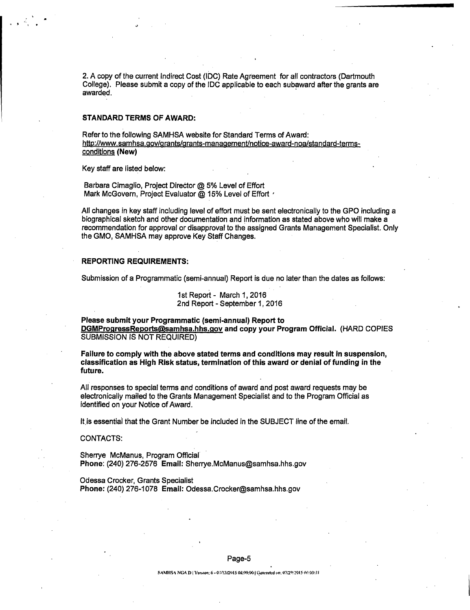2. A copy of the current Indirect Cost (IDC) Rate Agreement for all contractors (Dartmouth College). Please submit a copy of the IDC applicable to each subaward after the grants are awarded.

#### **STANDARD TERMS OF AWARD:**

Refer to the following SAMHSA website for Standard Terms of Award: http://www.samhsa.gov/grants/grants-management/notice-award-noa/standard-termsconditions **(New)** 

Key staff are listed below:

Barbara Cimaglio, Project Director @ 5% Level of Effort Mark McGovern, Project Evaluator @ 15% Level of Effort '

All changes in key staff including level of effort must be sent electronically to the GPO including a biographical sketch and other documentation and information as stated above who will make a recommendation for approval or disapproval to the assigned Grants Management Specialist. Only the GMO, SAMHSA may approve Key Staff Changes.

### **REPORTING REQUIREMENTS:**

Submission of a Programmatic (semi-annual) Report is due no later than the dates as follows:

1st Report - March 1,2016 2nd Report - September 1, 2016

**Please submit your Programmatic (semi-annual) Report to DGMProgressReportsQsamhsa.hhs.00v and copy your Program Official.** (HARD COPIES SUBMISSION IS NOT REQUIRED)

**Failure to comply with the above stated terms and conditions may result in suspension, classification as High Risk status, termination of this award or denial of funding in the future.** 

All responses to special terms and conditions of award and post award requests may be electronically mailed to the Grants Management Specialist and to the Program Official as identified on your Notice of Award.

It is essential that the Grant Number be included in the SUBJECT line of the email.

CONTACTS:

Sherrye McManus, Program Official **Phone:** (240) 276-2576 **Email:** Sherrye.McManus@samhsa.hhs.gov

Odessa Crocker, Grants Specialist **Phone:** (240) 276-1078 **Email:** Odessa.Crocker@samhsa.hhs.gov

#### Page-5

SAMHSA NGA D | Vorsion: 6 - 03/13/2015 08:09:00 | Gotterated on: 07/29/2015 00:03:31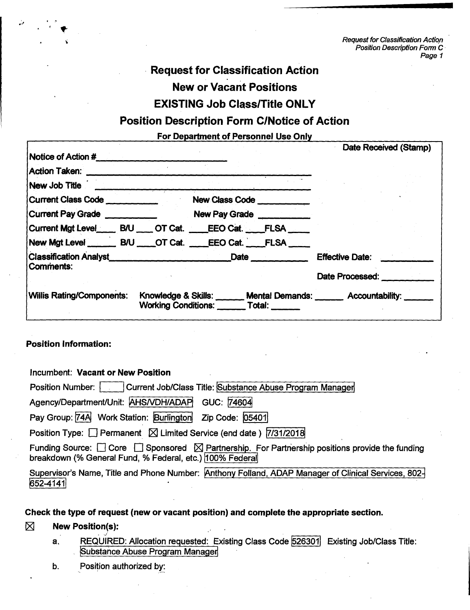**Request for Classification Action Position Description Form C** • **Page 1** 

# **Request for Classification Action**

**New or Vacant Positions** 

# **EXISTING Job Class/Title ONLY**

# **Position Description Form C/Notice of Action**

**For Department of Personnel Use Only** 

|                                  |                                                               |                                               | Date Received (Stamp)                                                                                                                                                                          |                                                                   |
|----------------------------------|---------------------------------------------------------------|-----------------------------------------------|------------------------------------------------------------------------------------------------------------------------------------------------------------------------------------------------|-------------------------------------------------------------------|
|                                  |                                                               |                                               |                                                                                                                                                                                                |                                                                   |
|                                  |                                                               |                                               |                                                                                                                                                                                                |                                                                   |
|                                  |                                                               |                                               |                                                                                                                                                                                                |                                                                   |
|                                  |                                                               |                                               |                                                                                                                                                                                                |                                                                   |
|                                  |                                                               |                                               |                                                                                                                                                                                                |                                                                   |
|                                  |                                                               |                                               |                                                                                                                                                                                                |                                                                   |
|                                  |                                                               |                                               |                                                                                                                                                                                                |                                                                   |
|                                  |                                                               |                                               | <b>Effective Date:</b>                                                                                                                                                                         |                                                                   |
|                                  |                                                               |                                               | Date Processed:                                                                                                                                                                                |                                                                   |
| <b>Willis Rating/Components:</b> |                                                               |                                               |                                                                                                                                                                                                |                                                                   |
|                                  | Notice of Action #<br>Current Class Code<br>Current Pay Grade | Current Mgt Level______ B/U ____ OT Cat. ____ | New Class Code ___________<br>New Pay Grade<br>EEO Cat. FLSA<br>New Mgt Level _______ B/U ____ OT Cat. ____ EEO Cat. ____ FLSA<br><b>Date <i>Date</i></b><br><b>Working Conditions: Total:</b> | Knowledge & Skills: ______ Mental Demands: ______ Accountability: |

# **Position Information:**

**Incumbent: Vacant or New Position** 

**Position Number: Current Job/Class Title: Substance Abuse Program Manager** 

**Agency/Department/Unit: AHSNDH/ADAP1 GUC: 74604** 

Pay Group: **74A** Work Station: **Burlington** Zip Code: **05401** 

**Position Type:**  $\Box$  **Permanent**  $\Box$  **Limited Service (end date) 7/31/2018** 

Funding Source:  $\Box$  Core  $\Box$  Sponsored  $\boxtimes$  Partnership. For Partnership positions provide the funding breakdown (% General Fund, % Federal, etc.) 100% Federal

**Supervisor's Name, Title and Phone Number: 'Anthony Folland, ADAP Manager of Clinical Services, 802- 652-4141** 

# **Check the type of request (new or vacant position) and complete the appropriate section.**

# **El New Position(s):**

- **a. REQUIRED: Allocation requested: Existing Class Code 526301 Existing Job/Class Title: 'Substance Abuse Program Manager**
- **b. Position authorized by:**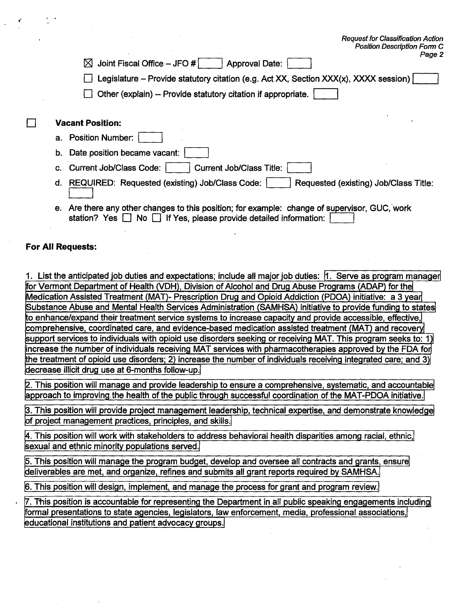| <b>Position Description Form C</b>                                                         |
|--------------------------------------------------------------------------------------------|
| Page 2<br>Joint Fiscal Office - JFO #                                                      |
| <b>Approval Date:</b><br>ᢂ                                                                 |
| Legislature – Provide statutory citation (e.g. Act XX, Section XXX(x), XXXX session)       |
| Other (explain) -- Provide statutory citation if appropriate.                              |
|                                                                                            |
| <b>Vacant Position:</b>                                                                    |
| a. Position Number:                                                                        |
| b. Date position became vacant:                                                            |
| <b>Current Job/Class Title:</b><br><b>Current Job/Class Code:</b>                          |
| d. REQUIRED: Requested (existing) Job/Class Code:<br>Requested (existing) Job/Class Title: |
|                                                                                            |

**Request for Classification Action** 

**e.** Are there any other changes to this position; for example: change of supervisor, GUC, work station? Yes  $\Box$  No  $\Box$  If Yes, please provide detailed information:

## **For All Requests:**

П

**1. List the anticipated job duties and expectations; include all major job duties: 1. Serve as program manager for Vermont Department of Health (VDH), Division of Alcohol and Drug Abuse Programs (ADAP) for the Medication Assisted Treatment (MAT)- Prescription Drug and Opioid Addiction (PDOA) initiative: a 3 year**, **Substance Abuse and Mental Health Services Administration (SAMHSA) initiative to provide funding to states to enhance/expand their treatment service systems to increase capacity and provide accessible, effective,**  comprehensive, coordinated care, and evidence-based medication assisted treatment (MAT) and recovery **support services to individuals with opioid use disorders seeking or receiving MAT. This program seeks to: 1**  increase the number of individuals receiving MAT services with pharmacotherapies approved by the FDA for **the treatment of opioid use disorders; 2) increase the number of individuals receiving integrated care; and 3) decrease illicit drug use at 6-months follow-up.** 

**2. This position will manage and provide leadership to ensure a comprehensive, systematic, and accountable approach to improving the health of the public through successful coordination of the MAT-PDOA initiative.** 

**3. This position will provide project management leadership, technical expertise, and demonstrate knowledge of project management practices, principles, and skills.** 

**4. This position will work with stakeholders to address behavioral health disparities among racial, ethnic, sexual and ethnic minority populations served.** 

**5. This position will manage the program budget, develop and oversee all contracts and grants, ensure deliverables are met, and organize, refines and submits all grant reports required by SAMHSA.** 

**6. This position will design, implement, and manage the process for grant and program review.** 

**7. This position is accountable for representing the Department in all public speaking engagements including formal presentations to state agencies, legislators, law enforcement, media, professional associations, educational institutions and patient advocacy groups.**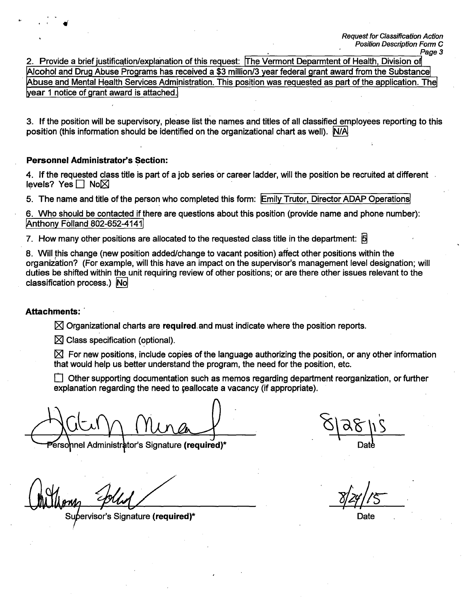**2. Provide a brief justification/explanation of this request: The Vermont Deparmtent of Health, Division of Alcohol and Drug Abuse Programs has received a \$3 million/3 year federal grant award from the Substance Abuse and Mental Health Services Administration. This position was requested as part of the application. The year 1 notice of grant award is attached.** 

**3. If the position will be supervisory, please list the names and titles of all classified employees reporting to this position (this information should be identified on the organizational chart as well). N/AI** 

## **Personnel Administrator's Section:**

**I,** 

**4. If the requested class title is part of a job series or career ladder, will the position be recruited at different**  levels? Yes **□ No**⊠

**5. The name and title of the person who completed this form: Emily Trutor, Director ADAP Operations** 

**6. Who should be contacted if there are questions about this position (provide name and phone number): 'Anthony Folland 802-652-4141** 

**7. How many other positions are allocated to the requested class title in the department:** g

**8. Will this change (new position added/change to vacant position) affect other positions within the organization? (For example, will this have an impact on the supervisor's management level designation; will duties be shifted within the unit requiring review of other positions; or are there other issues relevant to the classificatioh process.) No** 

## **Attachments:**

**Z Organizational charts are required. and must indicate where the position reports.** 

**Z Class specification (optional).** 

**IZ For new positions, include copies of the language authorizing the position, or any other information that would help us better understand the program, the need for the position, etc.** 

**1** Other supporting documentation such as memos regarding department reorganization, or further **explanation regarding the need to yeallocate a vacancy (if appropriate).** 

ersonnel Administrator's Signature (required)\*

**Su • ervisor's Signature (required)\* Date** 

/5-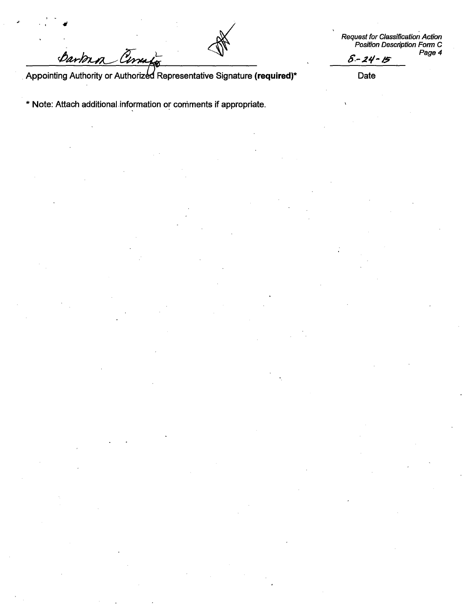Darban Cina

**Request for Classification Action Position Desc**ri**ption Form C Page 4**   $8 - 24 - 15$ 

Appointing Authority or Authorized Representative Signature (required)<sup>\*</sup> Date

**\* Note: Attach additional information or comments if appropriate.**